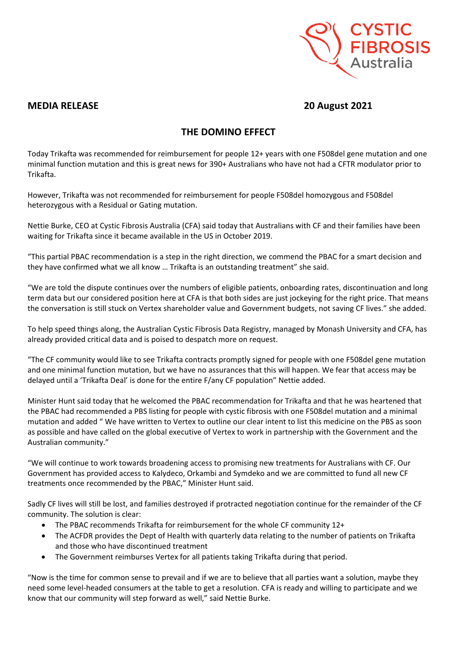

## **MEDIA RELEASE 20 August 2021**

## **THE DOMINO EFFECT**

Today Trikafta was recommended for reimbursement for people 12+ years with one F508del gene mutation and one minimal function mutation and this is great news for 390+ Australians who have not had a CFTR modulator prior to Trikafta.

However, Trikafta was not recommended for reimbursement for people F508del homozygous and F508del heterozygous with a Residual or Gating mutation.

Nettie Burke, CEO at Cystic Fibrosis Australia (CFA) said today that Australians with CF and their families have been waiting for Trikafta since it became available in the US in October 2019.

"This partial PBAC recommendation is a step in the right direction, we commend the PBAC for a smart decision and they have confirmed what we all know … Trikafta is an outstanding treatment" she said.

"We are told the dispute continues over the numbers of eligible patients, onboarding rates, discontinuation and long term data but our considered position here at CFA is that both sides are just jockeying for the right price. That means the conversation is still stuck on Vertex shareholder value and Government budgets, not saving CF lives." she added.

To help speed things along, the Australian Cystic Fibrosis Data Registry, managed by Monash University and CFA, has already provided critical data and is poised to despatch more on request.

"The CF community would like to see Trikafta contracts promptly signed for people with one F508del gene mutation and one minimal function mutation, but we have no assurances that this will happen. We fear that access may be delayed until a 'Trikafta Deal' is done for the entire F/any CF population" Nettie added.

Minister Hunt said today that he welcomed the PBAC recommendation for Trikafta and that he was heartened that the PBAC had recommended a PBS listing for people with cystic fibrosis with one F508del mutation and a minimal mutation and added " We have written to Vertex to outline our clear intent to list this medicine on the PBS as soon as possible and have called on the global executive of Vertex to work in partnership with the Government and the Australian community."

"We will continue to work towards broadening access to promising new treatments for Australians with CF. Our Government has provided access to Kalydeco, Orkambi and Symdeko and we are committed to fund all new CF treatments once recommended by the PBAC," Minister Hunt said.

Sadly CF lives will still be lost, and families destroyed if protracted negotiation continue for the remainder of the CF community. The solution is clear:

- The PBAC recommends Trikafta for reimbursement for the whole CF community 12+
- The ACFDR provides the Dept of Health with quarterly data relating to the number of patients on Trikafta and those who have discontinued treatment
- The Government reimburses Vertex for all patients taking Trikafta during that period.

"Now is the time for common sense to prevail and if we are to believe that all parties want a solution, maybe they need some level-headed consumers at the table to get a resolution. CFA is ready and willing to participate and we know that our community will step forward as well," said Nettie Burke.